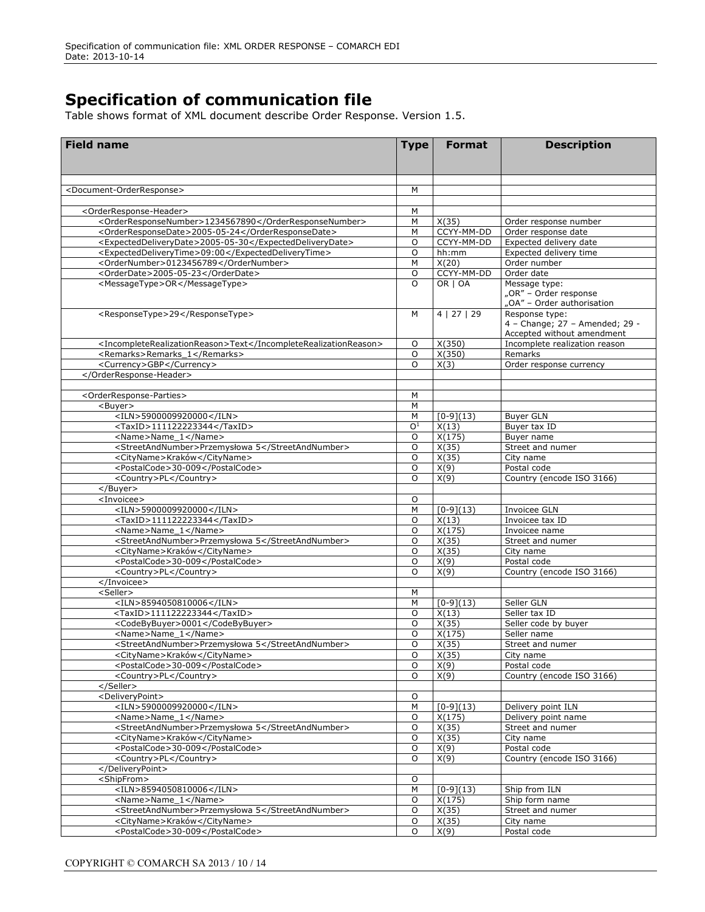## **Specification of communication file**

Table shows format of XML document describe Order Response. Version 1.5.

| <b>Field name</b>                                                  | <b>Type</b>        | <b>Format</b>         | <b>Description</b>                        |
|--------------------------------------------------------------------|--------------------|-----------------------|-------------------------------------------|
|                                                                    |                    |                       |                                           |
|                                                                    |                    |                       |                                           |
|                                                                    |                    |                       |                                           |
| <document-orderresponse></document-orderresponse>                  | M                  |                       |                                           |
| <orderresponse-header></orderresponse-header>                      | M                  |                       |                                           |
| <orderresponsenumber>1234567890</orderresponsenumber>              | M                  | X(35)                 | Order response number                     |
| <orderresponsedate>2005-05-24</orderresponsedate>                  | M                  | CCYY-MM-DD            | Order response date                       |
| <expecteddeliverydate>2005-05-30</expecteddeliverydate>            | $\circ$            | CCYY-MM-DD            | Expected delivery date                    |
| <expecteddeliverytime>09:00</expecteddeliverytime>                 | $\circ$            | hh:mm                 | Expected delivery time                    |
| <ordernumber>0123456789</ordernumber>                              | M                  | X(20)                 | Order number                              |
| <orderdate>2005-05-23</orderdate><br><messagetype>OR</messagetype> | $\circ$<br>$\circ$ | CCYY-MM-DD<br>OR   OA | Order date                                |
|                                                                    |                    |                       | Message type:<br>"OR" – Order response    |
|                                                                    |                    |                       | "OA" - Order authorisation                |
| <responsetype>29</responsetype>                                    | M                  | 4   27   29           | Response type:                            |
|                                                                    |                    |                       | 4 - Change; 27 - Amended; 29 -            |
|                                                                    |                    |                       | Accepted without amendment                |
| <incompleterealizationreason>Text</incompleterealizationreason>    | O                  | X(350)                | Incomplete realization reason             |
| <remarks>Remarks 1</remarks>                                       | O<br>$\Omega$      | X(350)                | Remarks                                   |
| <currency>GBP</currency><br>                                       |                    | X(3)                  | Order response currency                   |
|                                                                    |                    |                       |                                           |
| <orderresponse-parties></orderresponse-parties>                    | М                  |                       |                                           |
| <buyer></buyer>                                                    | M                  |                       |                                           |
| $\times$ ILN>5900009920000                                         | M                  | $[0-9](13)$           | <b>Buyer GLN</b>                          |
| <taxid>111122223344</taxid>                                        | 0 <sup>1</sup>     | X(13)                 | Buver tax ID                              |
| <name>Name_1</name>                                                | O                  | X(175)                | Buyer name                                |
| <streetandnumber>Przemysłowa 5</streetandnumber>                   | O                  | X(35)                 | Street and numer                          |
| <cityname>Kraków</cityname>                                        | O                  | X(35)                 | City name                                 |
| <postalcode>30-009</postalcode>                                    | O                  | X(9)                  | Postal code                               |
| <country>PL</country><br>                                          | O                  | X(9)                  | Country (encode ISO 3166)                 |
| <invoicee></invoicee>                                              | O                  |                       |                                           |
| <iln>5900009920000</iln>                                           | M                  | $[0-9](13)$           | Invoicee GLN                              |
| <taxid>111122223344</taxid>                                        | O                  | X(13)                 | Invoicee tax ID                           |
| <name>Name 1</name>                                                | O                  | X(175)                | Invoicee name                             |
| <streetandnumber>Przemysłowa 5</streetandnumber>                   | O                  | X(35)                 | Street and numer                          |
| <cityname>Kraków</cityname>                                        | O                  | X(35)                 | City name                                 |
| <postalcode>30-009</postalcode>                                    | O                  | X(9)                  | Postal code                               |
| <country>PL</country>                                              | O                  | X(9)                  | Country (encode ISO 3166)                 |
|                                                                    |                    |                       |                                           |
| <seller><br/><iln>8594050810006</iln></seller>                     | М<br>М             | $[0-9](13)$           | Seller GLN                                |
| <taxid>111122223344</taxid>                                        | O                  | X(13)                 | Seller tax ID                             |
| <codebybuyer>0001</codebybuyer>                                    | O                  | X(35)                 | Seller code by buyer                      |
| <name>Name 1</name>                                                | O                  | X(175)                | Seller name                               |
| <streetandnumber>Przemysłowa 5</streetandnumber>                   | O                  | X(35)                 | Street and numer                          |
| <cityname>Kraków</cityname>                                        | 0                  | X(35)                 | City name                                 |
| <postalcode>30-009</postalcode>                                    | O                  | X(9)                  | Postal code                               |
| <country>PL</country>                                              | 0                  | X(9)                  | Country (encode ISO 3166)                 |
|                                                                    |                    |                       |                                           |
| <deliverypoint><br/><iln>5900009920000</iln></deliverypoint>       | 0                  |                       |                                           |
| <name>Name 1</name>                                                | М<br>O             | $[0-9](13)$<br>X(175) | Delivery point ILN<br>Delivery point name |
| <streetandnumber>Przemysłowa 5</streetandnumber>                   | O                  | X(35)                 | Street and numer                          |
| <cityname>Kraków</cityname>                                        | O                  | X(35)                 | City name                                 |
| <postalcode>30-009</postalcode>                                    | O                  | X(9)                  | Postal code                               |
| <country>PL</country>                                              | O                  | X(9)                  | Country (encode ISO 3166)                 |
|                                                                    |                    |                       |                                           |
| <shipfrom></shipfrom>                                              | $\circ$            |                       |                                           |
| <iln>8594050810006</iln>                                           | M                  | $[0-9](13)$           | Ship from ILN                             |
| <name>Name 1</name>                                                | O                  | X(175)                | Ship form name                            |
| <streetandnumber>Przemysłowa 5</streetandnumber>                   | $\circ$            | X(35)                 | Street and numer                          |
| <cityname>Kraków</cityname>                                        | O                  | X(35)                 | City name                                 |
| <postalcode>30-009</postalcode>                                    | O                  | X(9)                  | Postal code                               |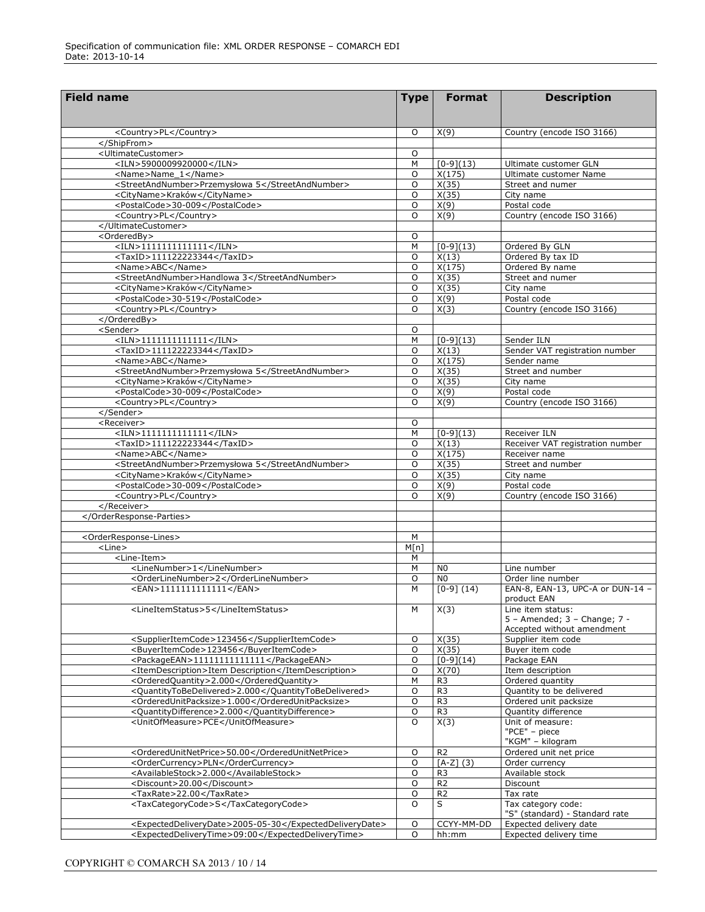| <b>Field name</b>                                                                                             | <b>Type</b>  | <b>Format</b>                    | <b>Description</b>                               |
|---------------------------------------------------------------------------------------------------------------|--------------|----------------------------------|--------------------------------------------------|
|                                                                                                               |              |                                  |                                                  |
|                                                                                                               |              |                                  |                                                  |
| <country>PL</country>                                                                                         | O            | X(9)                             | Country (encode ISO 3166)                        |
| <br><ultimatecustomer></ultimatecustomer>                                                                     | O            |                                  |                                                  |
| <iln>5900009920000</iln>                                                                                      | M            | $[0-9](13)$                      | Ultimate customer GLN                            |
| <name>Name_1</name>                                                                                           | 0            | X(175)                           | Ultimate customer Name                           |
| <streetandnumber>Przemysłowa 5</streetandnumber>                                                              | O            | X(35)                            | Street and numer                                 |
| <cityname>Kraków</cityname>                                                                                   | 0            | X(35)                            | City name                                        |
| <postalcode>30-009</postalcode>                                                                               | O            | X(9)                             | Postal code                                      |
| <country>PL</country>                                                                                         | 0            | X(9)                             | Country (encode ISO 3166)                        |
|                                                                                                               |              |                                  |                                                  |
| <orderedby></orderedby>                                                                                       | O            |                                  |                                                  |
| $<$ ILN>1111111111111                                                                                         | М            | $[0-9](13)$                      | Ordered By GLN                                   |
| <taxid>111122223344</taxid>                                                                                   | 0            | X(13)                            | Ordered By tax ID                                |
| <name>ABC</name>                                                                                              | O<br>$\circ$ | X(175)                           | Ordered By name                                  |
| <streetandnumber>Handlowa 3</streetandnumber><br><cityname>Kraków</cityname>                                  | O            | X(35)<br>X(35)                   | Street and numer<br>City name                    |
| <postalcode>30-519</postalcode>                                                                               | 0            | X(9)                             | Postal code                                      |
| <country>PL</country>                                                                                         | O            | X(3)                             | Country (encode ISO 3166)                        |
|                                                                                                               |              |                                  |                                                  |
| <sender></sender>                                                                                             | O            |                                  |                                                  |
| $<$ ILN>11111111111111                                                                                        | M            | $[0-9](13)$                      | Sender ILN                                       |
| <taxid>111122223344</taxid>                                                                                   | $\circ$      | X(13)                            | Sender VAT registration number                   |
| <name>ABC</name>                                                                                              | 0            | X(175)                           | Sender name                                      |
| <streetandnumber>Przemysłowa 5</streetandnumber>                                                              | O            | X(35)                            | Street and number                                |
| <cityname>Kraków</cityname>                                                                                   | 0            | X(35)                            | City name                                        |
| <postalcode>30-009</postalcode>                                                                               | O            | X(9)                             | Postal code                                      |
| <country>PL</country>                                                                                         | 0            | X(9)                             | Country (encode ISO 3166)                        |
|                                                                                                               |              |                                  |                                                  |
| <receiver><br/><math>&lt;</math>ILN&gt;11111111111111</receiver>                                              | O<br>M       | $[0-9](13)$                      | Receiver ILN                                     |
| <taxid>111122223344</taxid>                                                                                   | O            | X(13)                            | Receiver VAT registration number                 |
| <name>ABC</name>                                                                                              | $\circ$      | X(175)                           | Receiver name                                    |
| <streetandnumber>Przemysłowa 5</streetandnumber>                                                              | $\circ$      | X(35)                            | Street and number                                |
| <cityname>Kraków</cityname>                                                                                   | $\circ$      | X(35)                            | City name                                        |
| <postalcode>30-009</postalcode>                                                                               | $\circ$      | X(9)                             | Postal code                                      |
| <country>PL</country>                                                                                         | $\circ$      | X(9)                             | Country (encode ISO 3166)                        |
|                                                                                                               |              |                                  |                                                  |
|                                                                                                               |              |                                  |                                                  |
|                                                                                                               |              |                                  |                                                  |
| <orderresponse-lines></orderresponse-lines>                                                                   | M            |                                  |                                                  |
| $<$ Line $>$                                                                                                  | M[n]         |                                  |                                                  |
| <line-item><br/><linenumber>1</linenumber></line-item>                                                        | М<br>M       | N <sub>0</sub>                   | Line number                                      |
| <orderlinenumber>2</orderlinenumber>                                                                          | $\circ$      | N <sub>0</sub>                   | Order line number                                |
| <ean>1111111111111</ean>                                                                                      | M            | $[0-9] (14)$                     | EAN-8, EAN-13, UPC-A or DUN-14 -                 |
|                                                                                                               |              |                                  | product EAN                                      |
| <lineitemstatus>5</lineitemstatus>                                                                            | М            | X(3)                             | Line item status:                                |
|                                                                                                               |              |                                  | $5 -$ Amended: $3 -$ Change: $7 -$               |
|                                                                                                               |              |                                  | Accepted without amendment                       |
| <supplieritemcode>123456</supplieritemcode>                                                                   | $\mathsf O$  | X(35)                            | Supplier item code                               |
| <buyeritemcode>123456</buyeritemcode>                                                                         | $\mathsf O$  | X(35)                            | Buyer item code                                  |
| <packageean>11111111111111</packageean>                                                                       | O            | $[0-9](14)$                      | Package EAN                                      |
| <itemdescription>Item Description</itemdescription>                                                           | O            | X(70)                            | Item description                                 |
| <orderedquantity>2.000</orderedquantity>                                                                      | М            | R <sub>3</sub>                   | Ordered quantity                                 |
| <quantitytobedelivered>2.000</quantitytobedelivered><br><orderedunitpacksize>1.000</orderedunitpacksize>      | O<br>O       | R <sub>3</sub><br>R <sub>3</sub> | Quantity to be delivered                         |
| <quantitydifference>2.000</quantitydifference>                                                                | O            | R <sub>3</sub>                   | Ordered unit packsize<br>Quantity difference     |
| <unitofmeasure>PCE</unitofmeasure>                                                                            | O            | X(3)                             | Unit of measure:                                 |
|                                                                                                               |              |                                  | "PCE" - piece                                    |
|                                                                                                               |              |                                  | "KGM" - kilogram                                 |
| <orderedunitnetprice>50.00</orderedunitnetprice>                                                              | O            | R <sub>2</sub>                   | Ordered unit net price                           |
| <ordercurrency>PLN</ordercurrency>                                                                            | O            | $[A-Z]$ (3)                      | Order currency                                   |
| <availablestock>2.000</availablestock>                                                                        | O            | R <sub>3</sub>                   | Available stock                                  |
| <discount>20.00</discount>                                                                                    | O            | R <sub>2</sub>                   | Discount                                         |
| <taxrate>22.00</taxrate>                                                                                      | O            | R <sub>2</sub>                   | Tax rate                                         |
| <taxcategorycode>S</taxcategorycode>                                                                          | $\circ$      | S                                | Tax category code:                               |
|                                                                                                               |              |                                  | "S" (standard) - Standard rate                   |
| <expecteddeliverydate>2005-05-30</expecteddeliverydate><br><expecteddeliverytime>09:00</expecteddeliverytime> | O<br>O       | CCYY-MM-DD                       | Expected delivery date<br>Expected delivery time |
|                                                                                                               |              | hh:mm                            |                                                  |